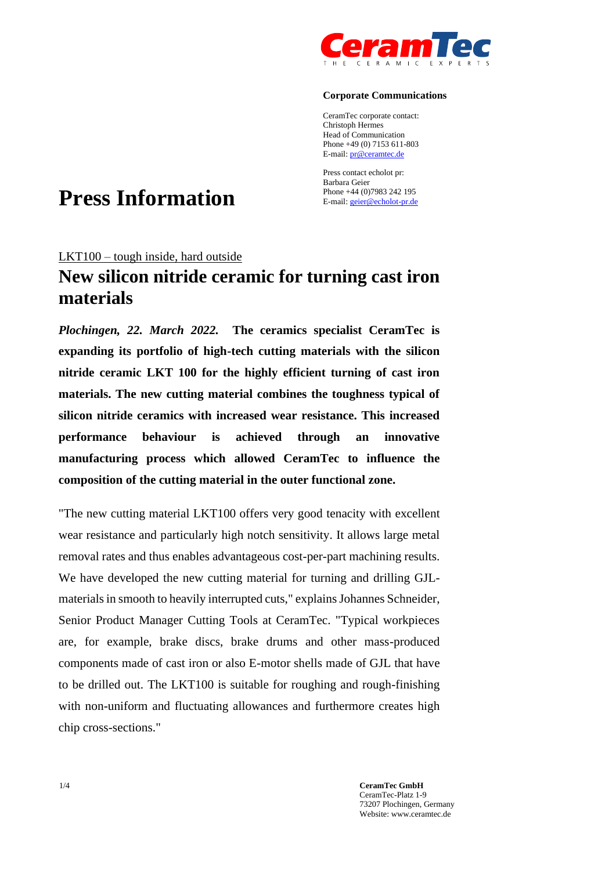

CeramTec corporate contact: Christoph Hermes Head of Communication Phone +49 (0) 7153 611-803 E-mail[: pr@ceramtec.de](mailto:pr@ceramtec.de)

Press contact echolot pr: Barbara Geier Phone +44 (0)7983 242 195 E-mail[: geier@echolot-pr.de](mailto:geier@echolot-pr.de)

## **Press Information**

#### LKT100 – tough inside, hard outside

### **New silicon nitride ceramic for turning cast iron materials**

*Plochingen, 22. March 2022.* **The ceramics specialist CeramTec is expanding its portfolio of high-tech cutting materials with the silicon nitride ceramic LKT 100 for the highly efficient turning of cast iron materials. The new cutting material combines the toughness typical of silicon nitride ceramics with increased wear resistance. This increased performance behaviour is achieved through an innovative manufacturing process which allowed CeramTec to influence the composition of the cutting material in the outer functional zone.**

"The new cutting material LKT100 offers very good tenacity with excellent wear resistance and particularly high notch sensitivity. It allows large metal removal rates and thus enables advantageous cost-per-part machining results. We have developed the new cutting material for turning and drilling GJLmaterials in smooth to heavily interrupted cuts," explains Johannes Schneider, Senior Product Manager Cutting Tools at CeramTec. "Typical workpieces are, for example, brake discs, brake drums and other mass-produced components made of cast iron or also E-motor shells made of GJL that have to be drilled out. The LKT100 is suitable for roughing and rough-finishing with non-uniform and fluctuating allowances and furthermore creates high chip cross-sections."

1/4 **CeramTec GmbH** CeramTec-Platz 1-9 73207 Plochingen, Germany Website: www.ceramtec.de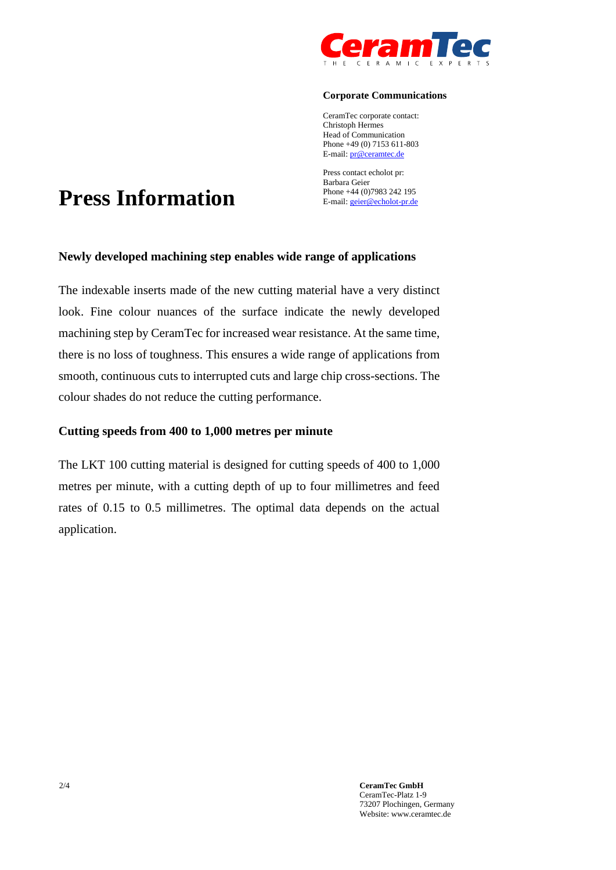

CeramTec corporate contact: Christoph Hermes Head of Communication Phone +49 (0) 7153 611-803 E-mail[: pr@ceramtec.de](mailto:pr@ceramtec.de)

Press contact echolot pr: Barbara Geier Phone +44 (0)7983 242 195 E-mail[: geier@echolot-pr.de](mailto:geier@echolot-pr.de)

# **Press Information**

#### **Newly developed machining step enables wide range of applications**

The indexable inserts made of the new cutting material have a very distinct look. Fine colour nuances of the surface indicate the newly developed machining step by CeramTec for increased wear resistance. At the same time, there is no loss of toughness. This ensures a wide range of applications from smooth, continuous cuts to interrupted cuts and large chip cross-sections. The colour shades do not reduce the cutting performance.

#### **Cutting speeds from 400 to 1,000 metres per minute**

The LKT 100 cutting material is designed for cutting speeds of 400 to 1,000 metres per minute, with a cutting depth of up to four millimetres and feed rates of 0.15 to 0.5 millimetres. The optimal data depends on the actual application.

2/4 **CeramTec GmbH** CeramTec-Platz 1-9 73207 Plochingen, Germany Website: www.ceramtec.de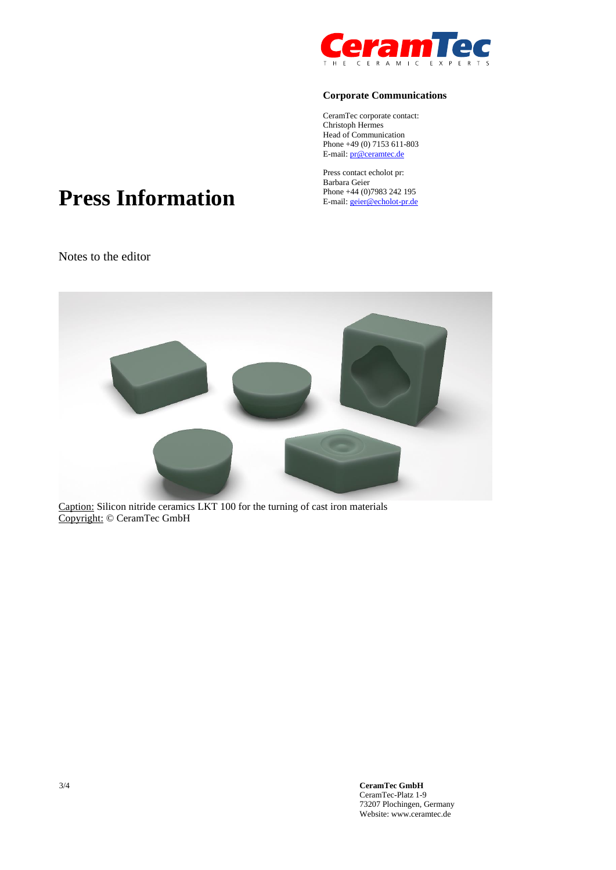

CeramTec corporate contact: Christoph Hermes Head of Communication Phone +49 (0) 7153 611-803 E-mail[: pr@ceramtec.de](mailto:pr@ceramtec.de)

Press contact echolot pr: Barbara Geier Phone +44 (0)7983 242 195 E-mail[: geier@echolot-pr.de](mailto:geier@echolot-pr.de)

# **Press Information**

Notes to the editor



Caption: Silicon nitride ceramics LKT 100 for the turning of cast iron materials Copyright: © CeramTec GmbH

3/4 **CeramTec GmbH** CeramTec-Platz 1-9 73207 Plochingen, Germany Website: www.ceramtec.de